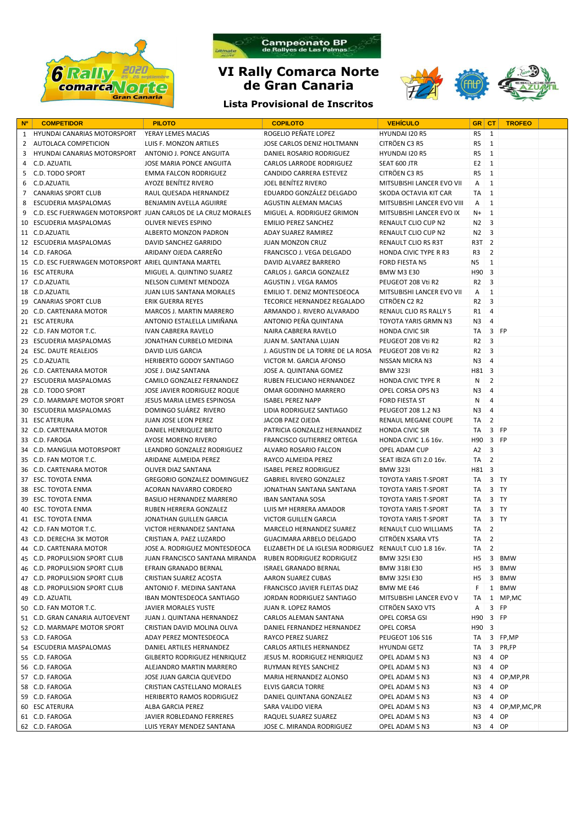



## **VI Rally Comarca Norte de Gran Canaria**

## **Lista Provisional de Inscritos**



| <b>N°</b>      | <b>COMPETIDOR</b>                                            | <b>PILOTO</b>                      | <b>COPILOTO</b>                                         | <b>VEHICULO</b>               | GR CT             |                         | <b>TROFEO</b>    |  |
|----------------|--------------------------------------------------------------|------------------------------------|---------------------------------------------------------|-------------------------------|-------------------|-------------------------|------------------|--|
| 1              | <b>HYUNDAI CANARIAS MOTORSPORT</b>                           | YERAY LEMES MACIAS                 | ROGELIO PEÑATE LOPEZ                                    | HYUNDAI I20 R5                | R5                | 1                       |                  |  |
| 2              | <b>AUTOLACA COMPETICION</b>                                  | LUIS F. MONZON ARTILES             | JOSE CARLOS DENIZ HOLTMANN                              | CITRÖEN C3 R5                 | R5                | 1                       |                  |  |
| 3              | <b>HYUNDAI CANARIAS MOTORSPORT</b>                           | ANTONIO J. PONCE ANGUITA           | DANIEL ROSARIO RODRIGUEZ                                | HYUNDAI I20 R5                | R <sub>5</sub>    | $\mathbf{1}$            |                  |  |
| 4              | C.D. AZUATIL                                                 | JOSE MARIA PONCE ANGUITA           | <b>CARLOS LARRODE RODRIGUEZ</b>                         | SEAT 600 JTR                  | E <sub>2</sub>    | $\overline{1}$          |                  |  |
| 5              | <b>C.D. TODO SPORT</b>                                       | EMMA FALCON RODRIGUEZ              | <b>CANDIDO CARRERA ESTEVEZ</b>                          | CITRÖEN C3 R5                 | R <sub>5</sub>    | $\overline{1}$          |                  |  |
| 6              | C.D.AZUATIL                                                  | AYOZE BENITEZ RIVERO               | JOEL BENITEZ RIVERO                                     | MITSUBISHI LANCER EVO VII     | Α                 | $\mathbf{1}$            |                  |  |
| $\overline{7}$ | <b>CANARIAS SPORT CLUB</b>                                   | RAUL QUESADA HERNANDEZ             | EDUARDO GONZÁLEZ DELGADO                                | SKODA OCTAVIA KIT CAR         | TA                | 1                       |                  |  |
| 8              | <b>ESCUDERIA MASPALOMAS</b>                                  | BENJAMIN AVELLA AGUIRRE            | AGUSTIN ALEMAN MACIAS                                   | MITSUBISHI LANCER EVO VIII    | A                 | $\mathbf{1}$            |                  |  |
| 9              | C.D. ESC FUERWAGEN MOTORSPORT JUAN CARLOS DE LA CRUZ MORALES |                                    | MIGUEL A. RODRIGUEZ GRIMON                              | MITSUBISHI LANCER EVO IX      | N+                | 1                       |                  |  |
| 10             | ESCUDERIA MASPALOMAS                                         | OLIVER NIEVES ESPINO               | <b>EMILIO PEREZ SANCHEZ</b>                             | RENAULT CLIO CUP N2           | N <sub>2</sub>    | 3                       |                  |  |
|                | 11 C.D.AZUATIL                                               | ALBERTO MONZON PADRON              | ADAY SUAREZ RAMIREZ                                     | RENAULT CLIO CUP N2           | N <sub>2</sub>    | $\overline{3}$          |                  |  |
|                | 12 ESCUDERIA MASPALOMAS                                      | DAVID SANCHEZ GARRIDO              | JUAN MONZON CRUZ                                        | RENAULT CLIO RS R3T           | R3T 2             |                         |                  |  |
|                | 14 C.D. FAROGA                                               | ARIDANY OJEDA CARREÑO              | FRANCISCO J. VEGA DELGADO                               | HONDA CIVIC TYPE R R3         | R3                | 2                       |                  |  |
|                | 15 C.D. ESC FUERWAGEN MOTORSPORT ARIEL QUINTANA MARTEL       |                                    | DAVID ALVAREZ BARRERO                                   | FORD FIESTA N5                | N <sub>5</sub>    | $\mathbf{1}$            |                  |  |
|                | 16 ESC ATERURA                                               | MIGUEL A. QUINTINO SUAREZ          | CARLOS J. GARCIA GONZALEZ                               | <b>BMW M3 E30</b>             | H90 3             |                         |                  |  |
|                | 17 C.D.AZUATIL                                               | NELSON CLIMENT MENDOZA             | AGUSTIN J. VEGA RAMOS                                   | PEUGEOT 208 Vti R2            | R <sub>2</sub>    | $\overline{\mathbf{3}}$ |                  |  |
|                | 18 C.D.AZUATIL                                               | <b>JUAN LUIS SANTANA MORALES</b>   | EMILIO T. DENIZ MONTESDEOCA                             | MITSUBISHI LANCER EVO VII     | A                 | $\mathbf{1}$            |                  |  |
|                | 19 CANARIAS SPORT CLUB                                       | <b>ERIK GUERRA REYES</b>           | TECORICE HERNANDEZ REGALADO                             | CITRÖEN C2 R2                 | R <sub>2</sub>    | $\overline{3}$          |                  |  |
|                | 20 C.D. CARTENARA MOTOR                                      | MARCOS J. MARTIN MARRERO           | ARMANDO J. RIVERO ALVARADO                              | <b>RENAUL CLIO RS RALLY 5</b> | R1                | $\overline{4}$          |                  |  |
|                | 21 ESC ATERURA                                               | ANTONIO ESTALELLA LIMIÑANA         | ANTONIO PEÑA QUINTANA                                   | <b>TOYOTA YARIS GRMN N3</b>   | N <sub>3</sub>    | $\overline{4}$          |                  |  |
|                | 22 C.D. FAN MOTOR T.C.                                       | <b>IVAN CABRERA RAVELO</b>         | NAIRA CABRERA RAVELO                                    | <b>HONDA CIVIC SIR</b>        | TA                |                         | 3 FP             |  |
|                | 23 ESCUDERIA MASPALOMAS                                      | JONATHAN CURBELO MEDINA            | JUAN M. SANTANA LUJAN                                   | PEUGEOT 208 Vti R2            | R <sub>2</sub>    | $\overline{3}$          |                  |  |
|                | 24 ESC. DAUTE REALEJOS                                       | DAVID LUIS GARCIA                  | J. AGUSTIN DE LA TORRE DE LA ROSA                       | PEUGEOT 208 Vti R2            | R <sub>2</sub>    | $\overline{\mathbf{3}}$ |                  |  |
|                | 25 C.D.AZUATIL                                               | HERIBERTO GODOY SANTIAGO           | VICTOR M. GARCIA AFONSO                                 | NISSAN MICRA N3               | N3                | $\overline{4}$          |                  |  |
|                | 26 C.D. CARTENARA MOTOR                                      | JOSE J. DIAZ SANTANA               | JOSE A. QUINTANA GOMEZ                                  | <b>BMW 323I</b>               | H81 3             |                         |                  |  |
|                | 27 ESCUDERIA MASPALOMAS                                      | CAMILO GONZALEZ FERNANDEZ          | RUBEN FELICIANO HERNANDEZ                               | <b>HONDA CIVIC TYPE R</b>     | N                 | 2                       |                  |  |
|                | 28 C.D. TODO SPORT                                           | JOSE JAVIER RODRIGUEZ ROQUE        | OMAR GODINHO MARRERO                                    | OPEL CORSA OPS N3             | N <sub>3</sub>    | $\overline{4}$          |                  |  |
|                | 29 C.D. MARMAPE MOTOR SPORT                                  | JESUS MARIA LEMES ESPINOSA         | <b>ISABEL PEREZ NAPP</b>                                | <b>FORD FIESTA ST</b>         | N                 | $\overline{4}$          |                  |  |
|                | 30 ESCUDERIA MASPALOMAS                                      | DOMINGO SUÁREZ RIVERO              | LIDIA RODRIGUEZ SANTIAGO                                | PEUGEOT 208 1.2 N3            | N3                | $\overline{4}$          |                  |  |
|                | 31 ESC ATERURA                                               | JUAN JOSE LEON PEREZ               | JACOB PAEZ OJEDA                                        | RENAUL MEGANE COUPE           | TA                | 2                       |                  |  |
|                | 32 C.D. CARTENARA MOTOR                                      | DANIEL HENRIQUEZ BRITO             | PATRICIA GONZALEZ HERNANDEZ                             | <b>HONDA CIVIC SIR</b>        | TA                |                         | $3$ FP           |  |
|                | 33 C.D. FAROGA                                               | AYOSE MORENO RIVERO                | <b>FRANCISCO GUTIERREZ ORTEGA</b>                       | HONDA CIVIC 1.6 16v.          | H90 3 FP          |                         |                  |  |
|                | 34 C.D. MANGUIA MOTORSPORT                                   | LEANDRO GONZALEZ RODRIGUEZ         | ALVARO ROSARIO FALCON                                   | OPEL ADAM CUP                 | A2                | 3                       |                  |  |
|                | 35 C.D. FAN MOTOR T.C.                                       | ARIDANE ALMEIDA PEREZ              | RAYCO ALMEIDA PEREZ                                     | SEAT IBIZA GTI 2.0 16v.       | $TA$ 2            |                         |                  |  |
|                | 36 C.D. CARTENARA MOTOR                                      | OLIVER DIAZ SANTANA                | <b>ISABEL PEREZ RODRIGUEZ</b>                           | <b>BMW 323I</b>               | H81 3             |                         |                  |  |
|                | 37 ESC. TOYOTA ENMA                                          | <b>GREGORIO GONZALEZ DOMINGUEZ</b> | <b>GABRIEL RIVERO GONZALEZ</b>                          | TOYOTA YARIS T-SPORT          | TA                |                         | $3$ TY           |  |
|                | 38 ESC. TOYOTA ENMA                                          | ACORAN NAVARRO CORDERO             | JONATHAN SANTANA SANTANA                                | TOYOTA YARIS T-SPORT          | TA                |                         | $3$ TY           |  |
|                | 39 ESC. TOYOTA ENMA                                          | BASILIO HERNANDEZ MARRERO          | <b>IBAN SANTANA SOSA</b>                                | TOYOTA YARIS T-SPORT          | TA                |                         | $3$ TY           |  |
|                | 40 ESC. TOYOTA ENMA                                          | RUBEN HERRERA GONZALEZ             | LUIS Mª HERRERA AMADOR                                  | TOYOTA YARIS T-SPORT          | TA                |                         | $3$ TY           |  |
|                | 41 ESC. TOYOTA ENMA                                          | JONATHAN GUILLEN GARCIA            | <b>VICTOR GUILLEN GARCIA</b>                            | <b>TOYOTA YARIS T-SPORT</b>   | TA                |                         | $3$ TY           |  |
|                | 42 C.D. FAN MOTOR T.C.                                       | <b>VICTOR HERNANDEZ SANTANA</b>    | <b>MARCELO HERNANDEZ SUAREZ</b>                         | RENAULT CLIO WILLIAMS         | $TA$ 2            |                         |                  |  |
|                | 43 C.D. DERECHA 3K MOTOR                                     | CRISTIAN A. PAEZ LUZARDO           | GUACIMARA ARBELO DELGADO                                | CITRÖEN XSARA VTS             | $TA$ 2            |                         |                  |  |
|                | 44 C.D. CARTENARA MOTOR                                      | JOSE A. RODRIGUEZ MONTESDEOCA      | ELIZABETH DE LA IGLESIA RODRIGUEZ RENAULT CLIO 1.8 16v. |                               | $TA$ 2            |                         |                  |  |
|                | 45 C.D. PROPULSION SPORT CLUB                                | JUAN FRANCISCO SANTANA MIRANDA     | RUBEN RODRIGUEZ RODRIGUEZ                               | BMW 3251 E30                  | H5                | 3                       | <b>BMW</b>       |  |
|                | 46 C.D. PROPULSION SPORT CLUB                                | EFRAIN GRANADO BERNAL              | <b>ISRAEL GRANADO BERNAL</b>                            | BMW 318I E30                  | H <sub>5</sub>    |                         | 3 BMW            |  |
|                | 47 C.D. PROPULSION SPORT CLUB                                | CRISTIAN SUAREZ ACOSTA             | AARON SUAREZ CUBAS                                      | BMW 3251 E30                  | H <sub>5</sub>    | 3                       | <b>BMW</b>       |  |
|                | 48 C.D. PROPULSION SPORT CLUB                                | ANTONIO F. MEDINA SANTANA          | FRANCISCO JAVIER FLEITAS DIAZ                           | BMW ME E46                    | F                 |                         | 1 BMW            |  |
|                | 49 C.D. AZUATIL                                              | IBAN MONTESDEOCA SANTIAGO          | JORDAN RODRIGUEZ SANTIAGO                               | MITSUBISHI LANCER EVO V       | TA                |                         | 1 MP,MC          |  |
|                | 50 C.D. FAN MOTOR T.C.                                       | JAVIER MORALES YUSTE               | JUAN R. LOPEZ RAMOS                                     | CITRÖEN SAXO VTS              | A                 |                         | 3 FP             |  |
|                | 51 C.D. GRAN CANARIA AUTOEVENT                               | JUAN J. QUINTANA HERNANDEZ         | CARLOS ALEMAN SANTANA                                   | OPEL CORSA GSI                | H90 3 FP          |                         |                  |  |
|                | 52 C.D. MARMAPE MOTOR SPORT                                  | CRISTIAN DAVID MOLINA OLIVA        | DANIEL FERNANDEZ HERNANDEZ                              | OPEL CORSA                    | H <sub>90</sub> 3 |                         |                  |  |
|                | 53 C.D. FAROGA                                               | ADAY PEREZ MONTESDEOCA             | RAYCO PEREZ SUAREZ                                      | PEUGEOT 106 S16               | TA                |                         | 3 FP,MP          |  |
|                | 54 ESCUDERIA MASPALOMAS                                      | DANIEL ARTILES HERNANDEZ           | <b>CARLOS ARTILES HERNANDEZ</b>                         | <b>HYUNDAI GETZ</b>           | TA                |                         | 3 PR,FP          |  |
|                | 55 C.D. FAROGA                                               | GILBERTO RODRIGUEZ HENRIQUEZ       | JESUS M. RODRIGUEZ HENRIQUEZ                            | OPEL ADAM S N3                | N3                |                         | 4 OP             |  |
|                | 56 C.D. FAROGA                                               | ALEJANDRO MARTIN MARRERO           | RUYMAN REYES SANCHEZ                                    | OPEL ADAM S N3                | N3                |                         | 4 OP             |  |
|                | 57 C.D. FAROGA                                               | JOSE JUAN GARCIA QUEVEDO           | MARIA HERNANDEZ ALONSO                                  | OPEL ADAM S N3                | N3                |                         | 4 OP, MP, PR     |  |
|                | 58 C.D. FAROGA                                               | CRISTIAN CASTELLANO MORALES        | <b>ELVIS GARCIA TORRE</b>                               | OPEL ADAM S N3                | N3                |                         | 4 OP             |  |
|                | 59 C.D. FAROGA                                               | HERIBERTO RAMOS RODRIGUEZ          | DANIEL QUINTANA GONZALEZ                                | OPEL ADAM S N3                | N3                |                         | 4 OP             |  |
|                | 60 ESC ATERURA                                               | ALBA GARCIA PEREZ                  | SARA VALIDO VIERA                                       | OPEL ADAM S N3                | N3                |                         | 4 OP, MP, MC, PR |  |
|                | 61 C.D. FAROGA                                               | JAVIER ROBLEDANO FERRERES          | RAQUEL SUAREZ SUAREZ                                    | OPEL ADAM S N3                | N3                |                         | 4 OP             |  |
|                | 62 C.D. FAROGA                                               | LUIS YERAY MENDEZ SANTANA          | JOSE C. MIRANDA RODRIGUEZ                               | OPEL ADAM S N3                | N3                |                         | 4 OP             |  |